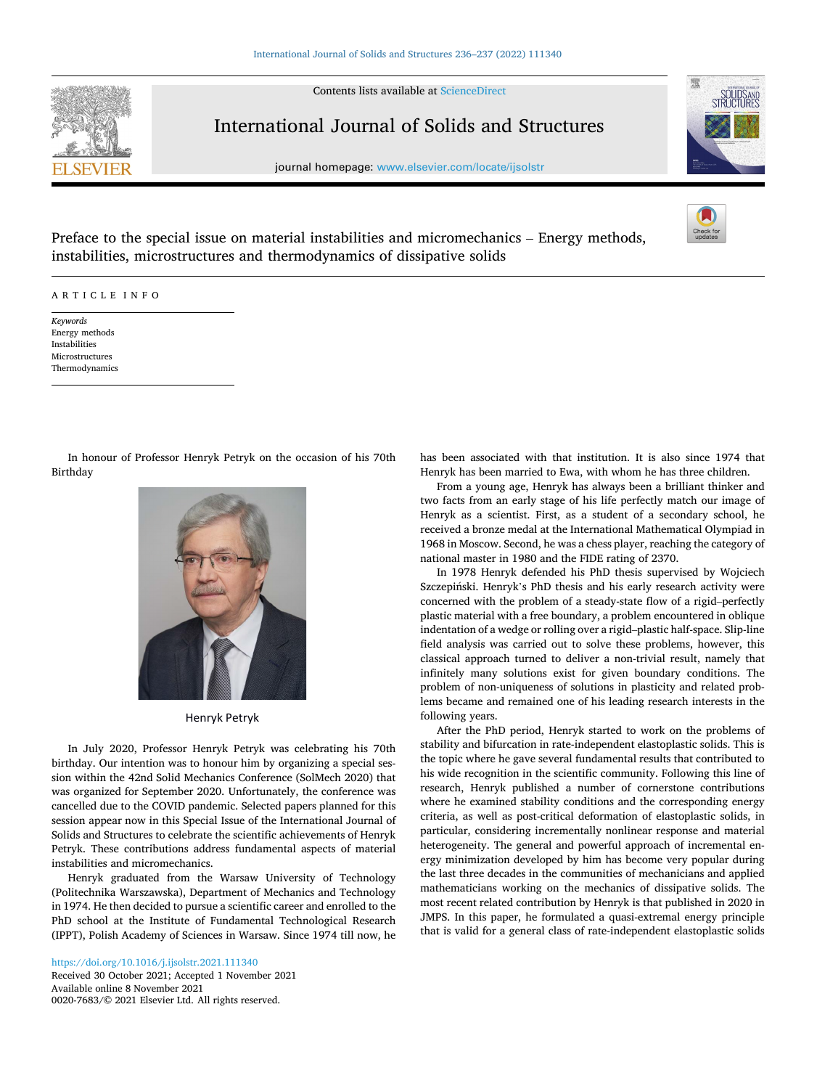Contents lists available at [ScienceDirect](www.sciencedirect.com/science/journal/00207683)



## International Journal of Solids and Structures

journal homepage: [www.elsevier.com/locate/ijsolstr](https://www.elsevier.com/locate/ijsolstr)



Preface to the special issue on material instabilities and micromechanics – Energy methods, instabilities, microstructures and thermodynamics of dissipative solids

## ARTICLE INFO

*Keywords*  Energy methods Instabilities Microstructures Thermodynamics

In honour of Professor Henryk Petryk on the occasion of his 70th Birthday



Henryk Petryk

In July 2020, Professor Henryk Petryk was celebrating his 70th birthday. Our intention was to honour him by organizing a special session within the 42nd Solid Mechanics Conference (SolMech 2020) that was organized for September 2020. Unfortunately, the conference was cancelled due to the COVID pandemic. Selected papers planned for this session appear now in this Special Issue of the International Journal of Solids and Structures to celebrate the scientific achievements of Henryk Petryk. These contributions address fundamental aspects of material instabilities and micromechanics.

Henryk graduated from the Warsaw University of Technology (Politechnika Warszawska), Department of Mechanics and Technology in 1974. He then decided to pursue a scientific career and enrolled to the PhD school at the Institute of Fundamental Technological Research (IPPT), Polish Academy of Sciences in Warsaw. Since 1974 till now, he

Available online 8 November 2021 0020-7683/© 2021 Elsevier Ltd. All rights reserved. <https://doi.org/10.1016/j.ijsolstr.2021.111340> Received 30 October 2021; Accepted 1 November 2021 has been associated with that institution. It is also since 1974 that Henryk has been married to Ewa, with whom he has three children.

From a young age, Henryk has always been a brilliant thinker and two facts from an early stage of his life perfectly match our image of Henryk as a scientist. First, as a student of a secondary school, he received a bronze medal at the International Mathematical Olympiad in 1968 in Moscow. Second, he was a chess player, reaching the category of national master in 1980 and the FIDE rating of 2370.

In 1978 Henryk defended his PhD thesis supervised by Wojciech Szczepiński. Henryk's PhD thesis and his early research activity were concerned with the problem of a steady-state flow of a rigid–perfectly plastic material with a free boundary, a problem encountered in oblique indentation of a wedge or rolling over a rigid–plastic half-space. Slip-line field analysis was carried out to solve these problems, however, this classical approach turned to deliver a non-trivial result, namely that infinitely many solutions exist for given boundary conditions. The problem of non-uniqueness of solutions in plasticity and related problems became and remained one of his leading research interests in the following years.

After the PhD period, Henryk started to work on the problems of stability and bifurcation in rate-independent elastoplastic solids. This is the topic where he gave several fundamental results that contributed to his wide recognition in the scientific community. Following this line of research, Henryk published a number of cornerstone contributions where he examined stability conditions and the corresponding energy criteria, as well as post-critical deformation of elastoplastic solids, in particular, considering incrementally nonlinear response and material heterogeneity. The general and powerful approach of incremental energy minimization developed by him has become very popular during the last three decades in the communities of mechanicians and applied mathematicians working on the mechanics of dissipative solids. The most recent related contribution by Henryk is that published in 2020 in JMPS. In this paper, he formulated a quasi-extremal energy principle that is valid for a general class of rate-independent elastoplastic solids